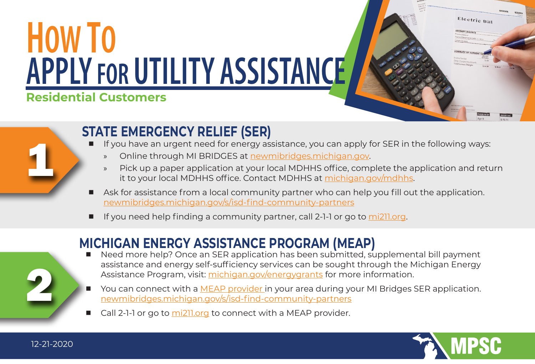## **Residential Customers** HOW TO **APPLY FOR UTILITY ASSISTANCE**

## **STATE EMERGENCY RELIEF (SER)**

- If you have an urgent need for energy assistance, you can apply for SER in the following ways:
	- » Online through MI BRIDGES at [newmibridges.michigan.gov](https://newmibridges.michigan.gov/s/isd-landing-page?language=en_US).
	- » Pick up a paper application at your local MDHHS office, complete the application and return it to your local MDHHS office. Contact MDHHS at [michigan.gov/mdhhs.](https://www.michigan.gov/mdhhs)
- Ask for assistance from a local community partner who can help you fill out the application. [newmibridges.michigan.gov/s/isd-find-community-partners](https://newmibridges.michigan.gov/s/isd-find-community-partners?language=en_US)
- If you need help finding a community partner, call 2-1-1 or go to [mi211.org](https://www.mi211.org/).

## **MICHIGAN ENERGY ASSISTANCE PROGRAM (MEAP)**

- Need more help? Once an SER application has been submitted, supplemental bill payment assistance and energy self-sufficiency services can be sought through the Michigan Energy Assistance Program, visit: [michigan.gov/energygrants](https://www.michigan.gov/mpsc/0,9535,7-395-93308_93327_93336---,00.html) for more information.
- You can connect with a [MEAP provider i](https://newmibridges.michigan.gov/s/isd-find-community-partners?language=en_US)n your area during your MI Bridges SER application. [newmibridges.michigan.gov/s/isd-find-community-partners](https://newmibridges.michigan.gov/s/isd-find-community-partners?language=en_US)
- Call 2-1-1 or go to [mi211.org](https://www.mi211.org/) to connect with a MEAP provider.



Electric Bill



1

12-21-2020